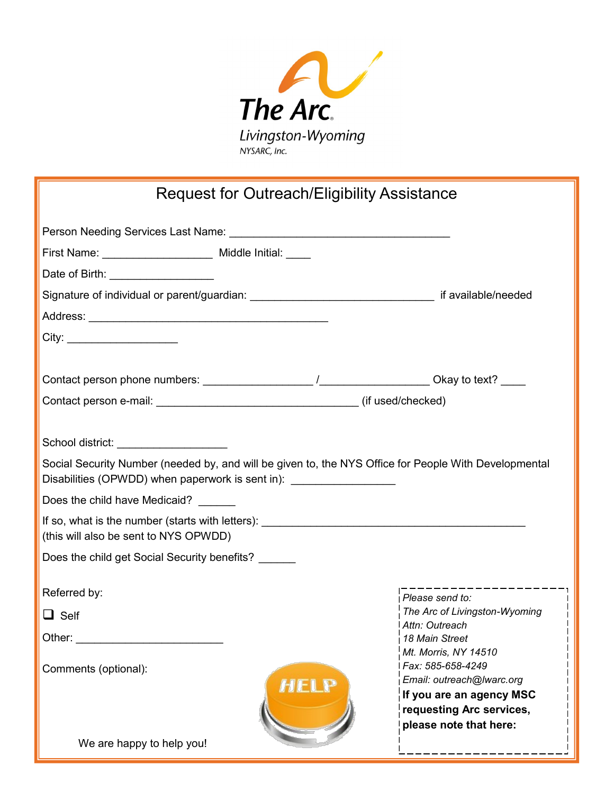

|  | Request for Outreach/Eligibility Assistance |
|--|---------------------------------------------|
|--|---------------------------------------------|

|                                        | First Name: __________________________ Middle Initial: _____                     |                                                                                                       |
|----------------------------------------|----------------------------------------------------------------------------------|-------------------------------------------------------------------------------------------------------|
| Date of Birth: ____________________    |                                                                                  |                                                                                                       |
|                                        |                                                                                  |                                                                                                       |
|                                        |                                                                                  |                                                                                                       |
| City:                                  |                                                                                  |                                                                                                       |
|                                        |                                                                                  |                                                                                                       |
|                                        |                                                                                  |                                                                                                       |
|                                        |                                                                                  |                                                                                                       |
|                                        |                                                                                  |                                                                                                       |
| School district: _____________________ |                                                                                  |                                                                                                       |
|                                        | Disabilities (OPWDD) when paperwork is sent in): _______________________________ | Social Security Number (needed by, and will be given to, the NYS Office for People With Developmental |
| Does the child have Medicaid?          |                                                                                  |                                                                                                       |
| (this will also be sent to NYS OPWDD)  |                                                                                  |                                                                                                       |
|                                        | Does the child get Social Security benefits?                                     |                                                                                                       |
| Referred by:                           |                                                                                  |                                                                                                       |
| $\Box$ Self                            |                                                                                  | Please send to:<br>The Arc of Livingston-Wyoming                                                      |
|                                        |                                                                                  | I Attn: Outreach                                                                                      |
|                                        |                                                                                  | 18 Main Street<br>Mt. Morris, NY 14510                                                                |
| Comments (optional):                   |                                                                                  | Fax: 585-658-4249                                                                                     |
|                                        | <b>HELP</b>                                                                      | Email: outreach@lwarc.org<br>If you are an agency MSC                                                 |
|                                        |                                                                                  | requesting Arc services,                                                                              |
|                                        |                                                                                  | please note that here:                                                                                |
| We are happy to help you!              |                                                                                  |                                                                                                       |